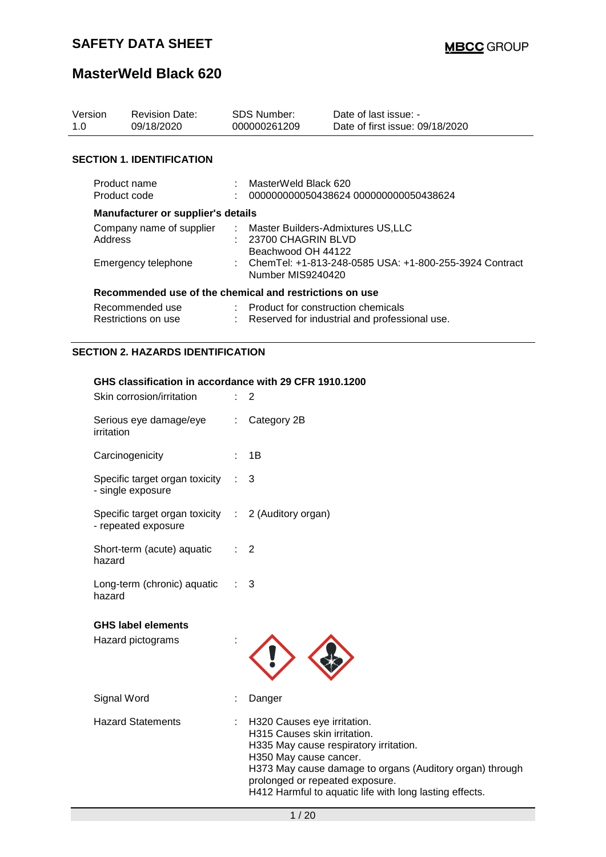| Version<br>1.0 | <b>Revision Date:</b><br>09/18/2020                     |  | <b>SDS Number:</b><br>000000261209                                                  | Date of last issue: -<br>Date of first issue: 09/18/2020 |  |
|----------------|---------------------------------------------------------|--|-------------------------------------------------------------------------------------|----------------------------------------------------------|--|
|                | <b>SECTION 1. IDENTIFICATION</b>                        |  |                                                                                     |                                                          |  |
|                | Product name<br>Product code                            |  | MasterWeld Black 620                                                                | 000000000050438624 000000000050438624                    |  |
|                | Manufacturer or supplier's details                      |  |                                                                                     |                                                          |  |
|                | Company name of supplier<br>Address                     |  | : Master Builders-Admixtures US,LLC<br>$: 23700$ CHAGRIN BLVD<br>Beachwood OH 44122 |                                                          |  |
|                | Emergency telephone                                     |  | : ChemTel: +1-813-248-0585 USA: +1-800-255-3924 Contract<br>Number MIS9240420       |                                                          |  |
|                | Recommended use of the chemical and restrictions on use |  |                                                                                     |                                                          |  |
|                | Recommended use<br>Restrictions on use                  |  | : Product for construction chemicals                                                | Reserved for industrial and professional use.            |  |
|                | <b>SECTION 2. HAZARDS IDENTIFICATION</b>                |  |                                                                                     |                                                          |  |

### **GHS classification in accordance with 29 CFR 1910.1200**

| Skin corrosion/irritation                                                  |                               | 2                                                                                                                                                                                                                                                                                         |
|----------------------------------------------------------------------------|-------------------------------|-------------------------------------------------------------------------------------------------------------------------------------------------------------------------------------------------------------------------------------------------------------------------------------------|
| Serious eye damage/eye<br>irritation                                       | $\mathcal{L}^{\mathcal{L}}$ . | Category 2B                                                                                                                                                                                                                                                                               |
| Carcinogenicity                                                            |                               | : 1B                                                                                                                                                                                                                                                                                      |
| Specific target organ toxicity :<br>- single exposure                      |                               | 3                                                                                                                                                                                                                                                                                         |
| Specific target organ toxicity : 2 (Auditory organ)<br>- repeated exposure |                               |                                                                                                                                                                                                                                                                                           |
| Short-term (acute) aquatic<br>hazard                                       | $\mathcal{L}$                 | 2                                                                                                                                                                                                                                                                                         |
| Long-term (chronic) aquatic : 3<br>hazard                                  |                               |                                                                                                                                                                                                                                                                                           |
| <b>GHS label elements</b>                                                  |                               |                                                                                                                                                                                                                                                                                           |
| Hazard pictograms                                                          |                               |                                                                                                                                                                                                                                                                                           |
| Signal Word                                                                |                               | Danger                                                                                                                                                                                                                                                                                    |
| <b>Hazard Statements</b>                                                   | t.                            | H320 Causes eye irritation.<br>H315 Causes skin irritation.<br>H335 May cause respiratory irritation.<br>H350 May cause cancer.<br>H373 May cause damage to organs (Auditory organ) through<br>prolonged or repeated exposure.<br>H412 Harmful to aquatic life with long lasting effects. |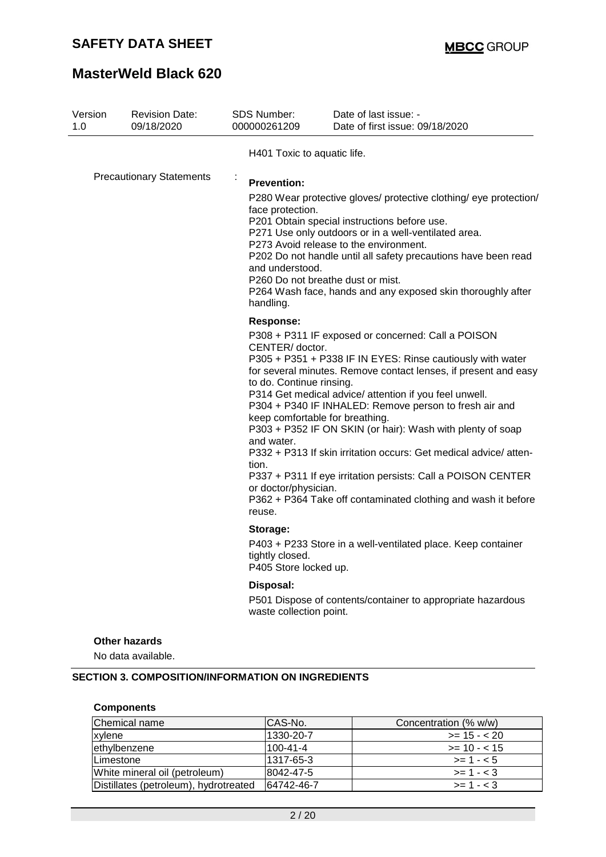# **MasterWeld Black 620**

| Version<br>1.0 | <b>Revision Date:</b><br>09/18/2020        | SDS Number:<br>000000261209                                                                                              | Date of last issue: -<br>Date of first issue: 09/18/2020                                                                                                                                                                                                                                                                                                                                                                                                                                                                                                                                                      |
|----------------|--------------------------------------------|--------------------------------------------------------------------------------------------------------------------------|---------------------------------------------------------------------------------------------------------------------------------------------------------------------------------------------------------------------------------------------------------------------------------------------------------------------------------------------------------------------------------------------------------------------------------------------------------------------------------------------------------------------------------------------------------------------------------------------------------------|
|                |                                            | H401 Toxic to aquatic life.                                                                                              |                                                                                                                                                                                                                                                                                                                                                                                                                                                                                                                                                                                                               |
|                | <b>Precautionary Statements</b>            | ÷<br><b>Prevention:</b><br>face protection.<br>and understood.<br>handling.                                              | P280 Wear protective gloves/ protective clothing/ eye protection/<br>P201 Obtain special instructions before use.<br>P271 Use only outdoors or in a well-ventilated area.<br>P273 Avoid release to the environment.<br>P202 Do not handle until all safety precautions have been read<br>P260 Do not breathe dust or mist.<br>P264 Wash face, hands and any exposed skin thoroughly after                                                                                                                                                                                                                     |
|                |                                            | <b>Response:</b><br>CENTER/ doctor.<br>to do. Continue rinsing.<br>and water.<br>tion.<br>or doctor/physician.<br>reuse. | P308 + P311 IF exposed or concerned: Call a POISON<br>P305 + P351 + P338 IF IN EYES: Rinse cautiously with water<br>for several minutes. Remove contact lenses, if present and easy<br>P314 Get medical advice/ attention if you feel unwell.<br>P304 + P340 IF INHALED: Remove person to fresh air and<br>keep comfortable for breathing.<br>P303 + P352 IF ON SKIN (or hair): Wash with plenty of soap<br>P332 + P313 If skin irritation occurs: Get medical advice/atten-<br>P337 + P311 If eye irritation persists: Call a POISON CENTER<br>P362 + P364 Take off contaminated clothing and wash it before |
|                |                                            | Storage:<br>tightly closed.<br>P405 Store locked up.                                                                     | P403 + P233 Store in a well-ventilated place. Keep container                                                                                                                                                                                                                                                                                                                                                                                                                                                                                                                                                  |
|                |                                            | Disposal:<br>waste collection point.                                                                                     | P501 Dispose of contents/container to appropriate hazardous                                                                                                                                                                                                                                                                                                                                                                                                                                                                                                                                                   |
|                | <b>Other hazards</b><br>No data available. |                                                                                                                          |                                                                                                                                                                                                                                                                                                                                                                                                                                                                                                                                                                                                               |

### **Components**

| Chemical name                         | CAS-No.        | Concentration (% w/w) |
|---------------------------------------|----------------|-----------------------|
| xylene                                | 1330-20-7      | $>= 15 - 20$          |
| ethylbenzene                          | $100 - 41 - 4$ | $>= 10 - 15$          |
| Limestone                             | 1317-65-3      | $>= 1 - 5$            |
| White mineral oil (petroleum)         | 8042-47-5      | $>= 1 - < 3$          |
| Distillates (petroleum), hydrotreated | 64742-46-7     | $>= 1 - < 3$          |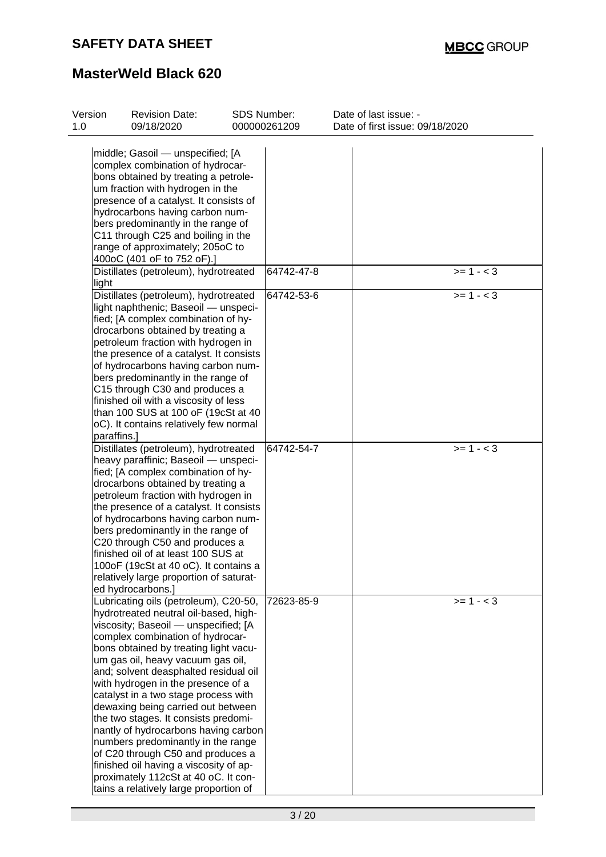| Version<br>1.0 | <b>Revision Date:</b><br>09/18/2020                                  | <b>SDS Number:</b> | 000000261209 | Date of last issue: -<br>Date of first issue: 09/18/2020 |
|----------------|----------------------------------------------------------------------|--------------------|--------------|----------------------------------------------------------|
|                |                                                                      |                    |              |                                                          |
|                | middle; Gasoil - unspecified; [A                                     |                    |              |                                                          |
|                | complex combination of hydrocar-                                     |                    |              |                                                          |
|                | bons obtained by treating a petrole-                                 |                    |              |                                                          |
|                | um fraction with hydrogen in the                                     |                    |              |                                                          |
|                | presence of a catalyst. It consists of                               |                    |              |                                                          |
|                | hydrocarbons having carbon num-                                      |                    |              |                                                          |
|                | bers predominantly in the range of                                   |                    |              |                                                          |
|                | C11 through C25 and boiling in the                                   |                    |              |                                                          |
|                | range of approximately; 205oC to                                     |                    |              |                                                          |
|                | 400oC (401 oF to 752 oF).]                                           |                    |              |                                                          |
|                | Distillates (petroleum), hydrotreated                                |                    | 64742-47-8   | $>= 1 - 3$                                               |
| light          |                                                                      |                    |              |                                                          |
|                | Distillates (petroleum), hydrotreated                                |                    | 64742-53-6   | $>= 1 - 3$                                               |
|                | light naphthenic; Baseoil - unspeci-                                 |                    |              |                                                          |
|                | fied; [A complex combination of hy-                                  |                    |              |                                                          |
|                | drocarbons obtained by treating a                                    |                    |              |                                                          |
|                | petroleum fraction with hydrogen in                                  |                    |              |                                                          |
|                | the presence of a catalyst. It consists                              |                    |              |                                                          |
|                | of hydrocarbons having carbon num-                                   |                    |              |                                                          |
|                | bers predominantly in the range of<br>C15 through C30 and produces a |                    |              |                                                          |
|                | finished oil with a viscosity of less                                |                    |              |                                                          |
|                | than 100 SUS at 100 oF (19cSt at 40                                  |                    |              |                                                          |
|                | oC). It contains relatively few normal                               |                    |              |                                                          |
|                | paraffins.]                                                          |                    |              |                                                          |
|                | Distillates (petroleum), hydrotreated                                |                    | 64742-54-7   | $>= 1 - < 3$                                             |
|                | heavy paraffinic; Baseoil - unspeci-                                 |                    |              |                                                          |
|                | fied; [A complex combination of hy-                                  |                    |              |                                                          |
|                | drocarbons obtained by treating a                                    |                    |              |                                                          |
|                | petroleum fraction with hydrogen in                                  |                    |              |                                                          |
|                | the presence of a catalyst. It consists                              |                    |              |                                                          |
|                | of hydrocarbons having carbon num-                                   |                    |              |                                                          |
|                | bers predominantly in the range of                                   |                    |              |                                                          |
|                | C20 through C50 and produces a                                       |                    |              |                                                          |
|                | finished oil of at least 100 SUS at                                  |                    |              |                                                          |
|                | 100oF (19cSt at 40 oC). It contains a                                |                    |              |                                                          |
|                | relatively large proportion of saturat-                              |                    |              |                                                          |
|                | ed hydrocarbons.]                                                    |                    |              |                                                          |
|                | Lubricating oils (petroleum), C20-50,                                |                    | 72623-85-9   | $>= 1 - 3$                                               |
|                | hydrotreated neutral oil-based, high-                                |                    |              |                                                          |
|                | viscosity; Baseoil - unspecified; [A                                 |                    |              |                                                          |
|                | complex combination of hydrocar-                                     |                    |              |                                                          |
|                | bons obtained by treating light vacu-                                |                    |              |                                                          |
|                | um gas oil, heavy vacuum gas oil,                                    |                    |              |                                                          |
|                | and; solvent deasphalted residual oil                                |                    |              |                                                          |
|                | with hydrogen in the presence of a                                   |                    |              |                                                          |
|                | catalyst in a two stage process with                                 |                    |              |                                                          |
|                | dewaxing being carried out between                                   |                    |              |                                                          |
|                | the two stages. It consists predomi-                                 |                    |              |                                                          |
|                | nantly of hydrocarbons having carbon                                 |                    |              |                                                          |
|                | numbers predominantly in the range                                   |                    |              |                                                          |
|                | of C20 through C50 and produces a                                    |                    |              |                                                          |
|                | finished oil having a viscosity of ap-                               |                    |              |                                                          |
|                | proximately 112cSt at 40 oC. It con-                                 |                    |              |                                                          |
|                | tains a relatively large proportion of                               |                    |              |                                                          |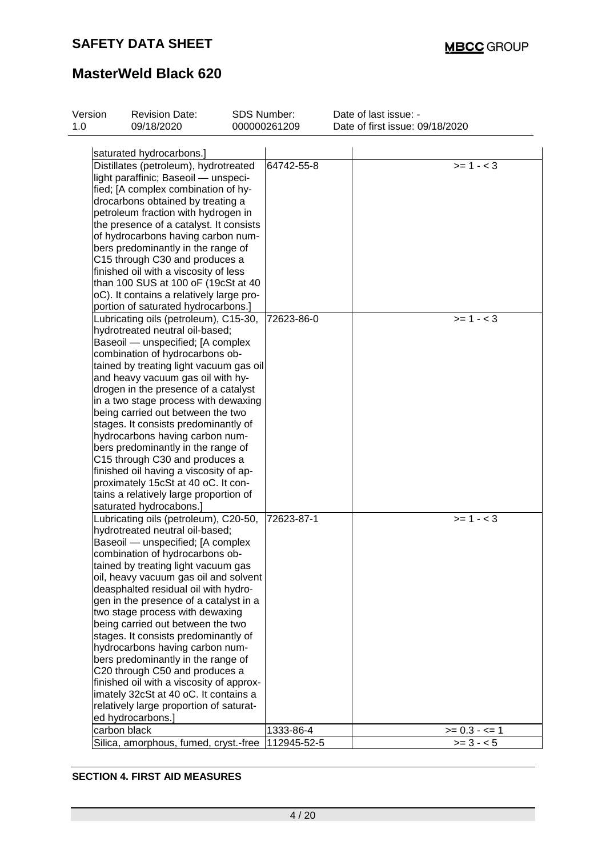# **MasterWeld Black 620**

| Version<br>1.0 | <b>Revision Date:</b><br>09/18/2020                                       | SDS Number: | 000000261209 | Date of last issue: -<br>Date of first issue: 09/18/2020 |
|----------------|---------------------------------------------------------------------------|-------------|--------------|----------------------------------------------------------|
|                |                                                                           |             |              |                                                          |
|                | saturated hydrocarbons.]                                                  |             |              |                                                          |
|                | Distillates (petroleum), hydrotreated                                     |             | 64742-55-8   | $>= 1 - 3$                                               |
|                | light paraffinic; Baseoil - unspeci-                                      |             |              |                                                          |
|                | fied; [A complex combination of hy-                                       |             |              |                                                          |
|                | drocarbons obtained by treating a                                         |             |              |                                                          |
|                | petroleum fraction with hydrogen in                                       |             |              |                                                          |
|                | the presence of a catalyst. It consists                                   |             |              |                                                          |
|                | of hydrocarbons having carbon num-                                        |             |              |                                                          |
|                | bers predominantly in the range of                                        |             |              |                                                          |
|                | C15 through C30 and produces a                                            |             |              |                                                          |
|                | finished oil with a viscosity of less                                     |             |              |                                                          |
|                | than 100 SUS at 100 oF (19cSt at 40                                       |             |              |                                                          |
|                | oC). It contains a relatively large pro-                                  |             |              |                                                          |
|                | portion of saturated hydrocarbons.]                                       |             |              |                                                          |
|                | Lubricating oils (petroleum), C15-30,                                     |             | 72623-86-0   | $>= 1 - 3$                                               |
|                | hydrotreated neutral oil-based;                                           |             |              |                                                          |
|                | Baseoil - unspecified; [A complex                                         |             |              |                                                          |
|                | combination of hydrocarbons ob-                                           |             |              |                                                          |
|                | tained by treating light vacuum gas oil                                   |             |              |                                                          |
|                | and heavy vacuum gas oil with hy-                                         |             |              |                                                          |
|                | drogen in the presence of a catalyst                                      |             |              |                                                          |
|                | in a two stage process with dewaxing                                      |             |              |                                                          |
|                | being carried out between the two                                         |             |              |                                                          |
|                | stages. It consists predominantly of                                      |             |              |                                                          |
|                | hydrocarbons having carbon num-                                           |             |              |                                                          |
|                | bers predominantly in the range of                                        |             |              |                                                          |
|                | C15 through C30 and produces a                                            |             |              |                                                          |
|                | finished oil having a viscosity of ap-                                    |             |              |                                                          |
|                | proximately 15cSt at 40 oC. It con-                                       |             |              |                                                          |
|                | tains a relatively large proportion of                                    |             |              |                                                          |
|                | saturated hydrocabons.]                                                   |             |              | $>= 1 - < 3$                                             |
|                | Lubricating oils (petroleum), C20-50,                                     |             | 72623-87-1   |                                                          |
|                | hydrotreated neutral oil-based;                                           |             |              |                                                          |
|                | Baseoil - unspecified; [A complex                                         |             |              |                                                          |
|                | combination of hydrocarbons ob-                                           |             |              |                                                          |
|                | tained by treating light vacuum gas                                       |             |              |                                                          |
|                | oil, heavy vacuum gas oil and solvent                                     |             |              |                                                          |
|                | deasphalted residual oil with hydro-                                      |             |              |                                                          |
|                | gen in the presence of a catalyst in a<br>two stage process with dewaxing |             |              |                                                          |
|                |                                                                           |             |              |                                                          |
|                | being carried out between the two                                         |             |              |                                                          |
|                | stages. It consists predominantly of<br>hydrocarbons having carbon num-   |             |              |                                                          |
|                | bers predominantly in the range of                                        |             |              |                                                          |
|                | C20 through C50 and produces a                                            |             |              |                                                          |
|                | finished oil with a viscosity of approx-                                  |             |              |                                                          |
|                | imately 32cSt at 40 oC. It contains a                                     |             |              |                                                          |
|                |                                                                           |             |              |                                                          |
|                | relatively large proportion of saturat-<br>ed hydrocarbons.]              |             |              |                                                          |
|                | carbon black                                                              |             | 1333-86-4    | $>= 0.3 - 5 = 1$                                         |
|                | Silica, amorphous, fumed, cryst.-free   112945-52-5                       |             |              | $>= 3 - 5$                                               |
|                |                                                                           |             |              |                                                          |

### **SECTION 4. FIRST AID MEASURES**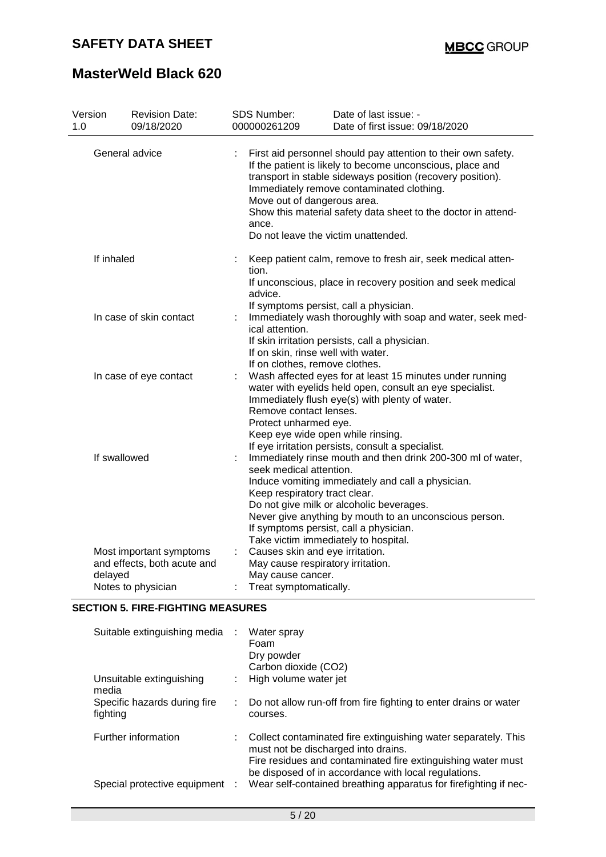# **MasterWeld Black 620**

| Version<br>1.0 | <b>Revision Date:</b><br>09/18/2020 | SDS Number:<br>000000261209                                                                                                                                                                             | Date of last issue: -<br>Date of first issue: 09/18/2020                                                                                                                                                                                                                                                                                                                     |  |  |  |
|----------------|-------------------------------------|---------------------------------------------------------------------------------------------------------------------------------------------------------------------------------------------------------|------------------------------------------------------------------------------------------------------------------------------------------------------------------------------------------------------------------------------------------------------------------------------------------------------------------------------------------------------------------------------|--|--|--|
|                | General advice                      | ance.                                                                                                                                                                                                   | First aid personnel should pay attention to their own safety.<br>If the patient is likely to become unconscious, place and<br>transport in stable sideways position (recovery position).<br>Immediately remove contaminated clothing.<br>Move out of dangerous area.<br>Show this material safety data sheet to the doctor in attend-<br>Do not leave the victim unattended. |  |  |  |
| If inhaled     |                                     | tion.<br>advice.                                                                                                                                                                                        | Keep patient calm, remove to fresh air, seek medical atten-<br>If unconscious, place in recovery position and seek medical<br>If symptoms persist, call a physician.                                                                                                                                                                                                         |  |  |  |
|                | In case of skin contact             | Immediately wash thoroughly with soap and water, seek med-<br>ical attention.<br>If skin irritation persists, call a physician.<br>If on skin, rinse well with water.<br>If on clothes, remove clothes. |                                                                                                                                                                                                                                                                                                                                                                              |  |  |  |
|                | In case of eye contact              | Remove contact lenses.<br>Protect unharmed eye.                                                                                                                                                         | Wash affected eyes for at least 15 minutes under running<br>water with eyelids held open, consult an eye specialist.<br>Immediately flush eye(s) with plenty of water.<br>Keep eye wide open while rinsing.<br>If eye irritation persists, consult a specialist.                                                                                                             |  |  |  |
|                | If swallowed                        | seek medical attention.<br>Keep respiratory tract clear.                                                                                                                                                | Immediately rinse mouth and then drink 200-300 ml of water,<br>Induce vomiting immediately and call a physician.<br>Do not give milk or alcoholic beverages.<br>Never give anything by mouth to an unconscious person.<br>If symptoms persist, call a physician.<br>Take victim immediately to hospital.                                                                     |  |  |  |
|                | Most important symptoms             |                                                                                                                                                                                                         | Causes skin and eye irritation.                                                                                                                                                                                                                                                                                                                                              |  |  |  |
| delayed        | and effects, both acute and         | May cause cancer.                                                                                                                                                                                       | May cause respiratory irritation.                                                                                                                                                                                                                                                                                                                                            |  |  |  |
|                | Notes to physician                  | Treat symptomatically.                                                                                                                                                                                  |                                                                                                                                                                                                                                                                                                                                                                              |  |  |  |
|                |                                     |                                                                                                                                                                                                         |                                                                                                                                                                                                                                                                                                                                                                              |  |  |  |

### **SECTION 5. FIRE-FIGHTING MEASURES**

| Suitable extinguishing media             |    | Water spray<br>Foam<br>Dry powder<br>Carbon dioxide (CO2)                                                                                                                                                                     |
|------------------------------------------|----|-------------------------------------------------------------------------------------------------------------------------------------------------------------------------------------------------------------------------------|
| Unsuitable extinguishing<br>media        |    | High volume water jet                                                                                                                                                                                                         |
| Specific hazards during fire<br>fighting | ÷. | Do not allow run-off from fire fighting to enter drains or water<br>courses.                                                                                                                                                  |
| Further information                      |    | Collect contaminated fire extinguishing water separately. This<br>must not be discharged into drains.<br>Fire residues and contaminated fire extinguishing water must<br>be disposed of in accordance with local regulations. |
| Special protective equipment :           |    | Wear self-contained breathing apparatus for firefighting if nec-                                                                                                                                                              |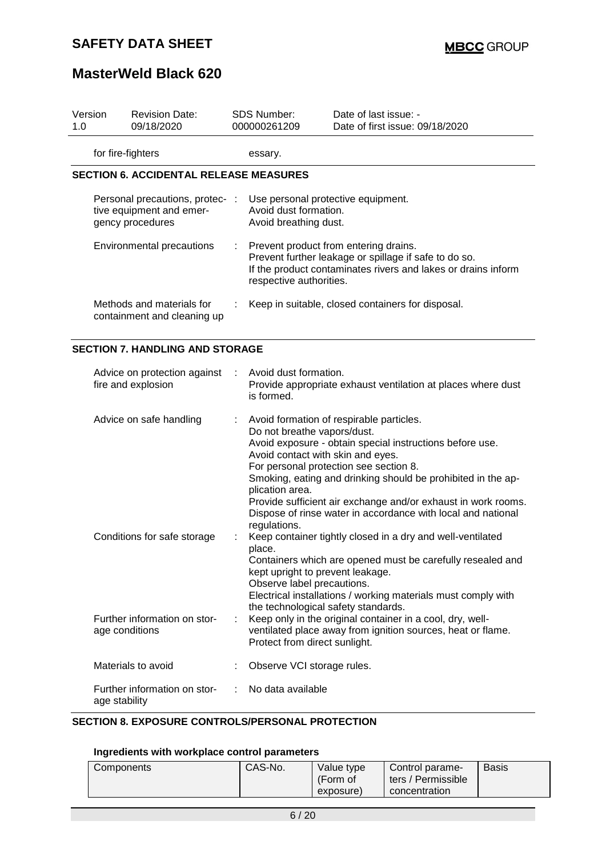# **MasterWeld Black 620**

| 1.0 | Version           | <b>Revision Date:</b><br>09/18/2020                                             | <b>SDS Number:</b><br>000000261209                                                                              | Date of last issue: -<br>Date of first issue: 09/18/2020                                                                                                                                                                                                                                                                                        |
|-----|-------------------|---------------------------------------------------------------------------------|-----------------------------------------------------------------------------------------------------------------|-------------------------------------------------------------------------------------------------------------------------------------------------------------------------------------------------------------------------------------------------------------------------------------------------------------------------------------------------|
|     | for fire-fighters |                                                                                 | essary.                                                                                                         |                                                                                                                                                                                                                                                                                                                                                 |
|     |                   | <b>SECTION 6. ACCIDENTAL RELEASE MEASURES</b>                                   |                                                                                                                 |                                                                                                                                                                                                                                                                                                                                                 |
|     |                   | Personal precautions, protec- :<br>tive equipment and emer-<br>gency procedures | Use personal protective equipment.<br>Avoid dust formation.<br>Avoid breathing dust.                            |                                                                                                                                                                                                                                                                                                                                                 |
|     |                   | Environmental precautions                                                       | respective authorities.                                                                                         | Prevent product from entering drains.<br>Prevent further leakage or spillage if safe to do so.<br>If the product contaminates rivers and lakes or drains inform                                                                                                                                                                                 |
|     |                   | Methods and materials for<br>containment and cleaning up                        |                                                                                                                 | Keep in suitable, closed containers for disposal.                                                                                                                                                                                                                                                                                               |
|     |                   | <b>SECTION 7. HANDLING AND STORAGE</b>                                          |                                                                                                                 |                                                                                                                                                                                                                                                                                                                                                 |
|     |                   | Advice on protection against<br>fire and explosion                              | Avoid dust formation.<br>is formed.                                                                             | Provide appropriate exhaust ventilation at places where dust                                                                                                                                                                                                                                                                                    |
|     |                   | Advice on safe handling                                                         | Do not breathe vapors/dust.<br>Avoid contact with skin and eyes.<br>plication area.<br>regulations.             | Avoid formation of respirable particles.<br>Avoid exposure - obtain special instructions before use.<br>For personal protection see section 8.<br>Smoking, eating and drinking should be prohibited in the ap-<br>Provide sufficient air exchange and/or exhaust in work rooms.<br>Dispose of rinse water in accordance with local and national |
|     |                   | Conditions for safe storage                                                     | place.<br>kept upright to prevent leakage.<br>Observe label precautions.<br>the technological safety standards. | Keep container tightly closed in a dry and well-ventilated<br>Containers which are opened must be carefully resealed and<br>Electrical installations / working materials must comply with                                                                                                                                                       |
|     |                   | Further information on stor-<br>age conditions                                  | Protect from direct sunlight.                                                                                   | Keep only in the original container in a cool, dry, well-<br>ventilated place away from ignition sources, heat or flame.                                                                                                                                                                                                                        |
|     |                   | Materials to avoid                                                              | Observe VCI storage rules.                                                                                      |                                                                                                                                                                                                                                                                                                                                                 |
|     | age stability     | Further information on stor-                                                    | No data available                                                                                               |                                                                                                                                                                                                                                                                                                                                                 |

### **SECTION 8. EXPOSURE CONTROLS/PERSONAL PROTECTION**

### **Ingredients with workplace control parameters**

| Components | CAS-No.<br>Value type<br>(Form of<br>exposure) | Control parame-<br>ters / Permissible<br>concentration | <b>Basis</b> |
|------------|------------------------------------------------|--------------------------------------------------------|--------------|
|------------|------------------------------------------------|--------------------------------------------------------|--------------|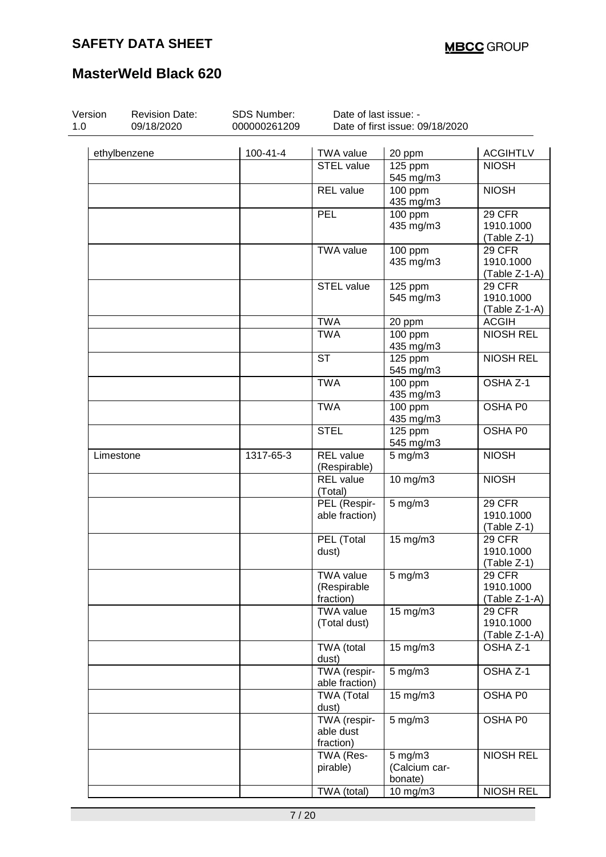| Version<br>1.0 | <b>Revision Date:</b><br>09/18/2020 | SDS Number:<br>000000261209 | Date of last issue: -                        | Date of first issue: 09/18/2020          |                                             |
|----------------|-------------------------------------|-----------------------------|----------------------------------------------|------------------------------------------|---------------------------------------------|
|                | ethylbenzene                        | $100 - 41 - 4$              | <b>TWA value</b>                             | 20 ppm                                   | <b>ACGIHTLV</b>                             |
|                |                                     |                             | <b>STEL value</b>                            | 125 ppm<br>545 mg/m3                     | <b>NIOSH</b>                                |
|                |                                     |                             | <b>REL</b> value                             | 100 ppm<br>435 mg/m3                     | <b>NIOSH</b>                                |
|                |                                     |                             | PEL                                          | $100$ ppm<br>435 mg/m3                   | 29 CFR<br>1910.1000<br>(Table Z-1)          |
|                |                                     |                             | <b>TWA value</b>                             | 100 ppm<br>435 mg/m3                     | 29 CFR<br>1910.1000<br>(Table Z-1-A)        |
|                |                                     |                             | STEL value                                   | $\overline{1}$ 25 ppm<br>545 mg/m3       | 29 CFR<br>1910.1000<br>(Table Z-1-A)        |
|                |                                     |                             | <b>TWA</b>                                   | 20 ppm                                   | <b>ACGIH</b>                                |
|                |                                     |                             | <b>TWA</b>                                   | $100$ ppm<br>435 mg/m3                   | <b>NIOSH REL</b>                            |
|                |                                     |                             | <b>ST</b>                                    | $\overline{125}$ ppm<br>545 mg/m3        | <b>NIOSH REL</b>                            |
|                |                                     |                             | <b>TWA</b>                                   | $100$ ppm<br>435 mg/m3                   | OSHA Z-1                                    |
|                |                                     |                             | <b>TWA</b>                                   | $100$ ppm<br>435 mg/m3                   | OSHA P0                                     |
|                |                                     |                             | <b>STEL</b>                                  | 125 ppm<br>545 mg/m3                     | OSHA P0                                     |
| Limestone      |                                     | 1317-65-3                   | <b>REL</b> value<br>(Respirable)             | $5$ mg/m $3$                             | <b>NIOSH</b>                                |
|                |                                     |                             | <b>REL</b> value<br>(Total)                  | 10 mg/m3                                 | <b>NIOSH</b>                                |
|                |                                     |                             | PEL (Respir-<br>able fraction)               | $5$ mg/m $3$                             | <b>29 CFR</b><br>1910.1000<br>(Table Z-1)   |
|                |                                     |                             | PEL (Total<br>dust)                          | $15$ mg/m $3$                            | 29 CFR<br>1910.1000<br>(Table Z-1)          |
|                |                                     |                             | <b>TWA value</b><br>(Respirable<br>fraction) | $5$ mg/m $3$                             | <b>29 CFR</b><br>1910.1000<br>(Table Z-1-A) |
|                |                                     |                             | <b>TWA value</b><br>(Total dust)             | 15 mg/m3                                 | <b>29 CFR</b><br>1910.1000<br>(Table Z-1-A) |
|                |                                     |                             | TWA (total<br>dust)                          | $15$ mg/m $3$                            | OSHA Z-1                                    |
|                |                                     |                             | TWA (respir-<br>able fraction)               | $5$ mg/m $3$                             | OSHA Z-1                                    |
|                |                                     |                             | <b>TWA (Total</b><br>dust)                   | 15 mg/m3                                 | OSHA P0                                     |
|                |                                     |                             | TWA (respir-<br>able dust<br>fraction)       | $5$ mg/m $3$                             | OSHA P0                                     |
|                |                                     |                             | TWA (Res-<br>pirable)                        | $5$ mg/m $3$<br>(Calcium car-<br>bonate) | <b>NIOSH REL</b>                            |
|                |                                     |                             | TWA (total)                                  | 10 mg/m3                                 | <b>NIOSH REL</b>                            |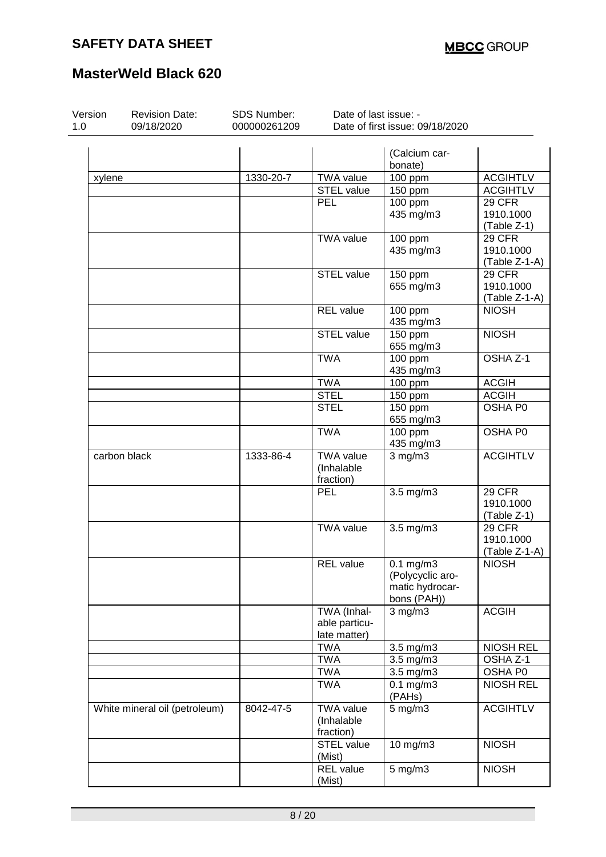| Version<br>1.0 | <b>Revision Date:</b><br>09/18/2020 | SDS Number:<br>000000261209 | Date of last issue: -                        | Date of first issue: 09/18/2020                                      |                                             |
|----------------|-------------------------------------|-----------------------------|----------------------------------------------|----------------------------------------------------------------------|---------------------------------------------|
|                |                                     |                             |                                              | (Calcium car-<br>bonate)                                             |                                             |
| xylene         |                                     | 1330-20-7                   | <b>TWA value</b>                             | 100 ppm                                                              | <b>ACGIHTLV</b>                             |
|                |                                     |                             | <b>STEL value</b>                            | 150 ppm                                                              | <b>ACGIHTLV</b>                             |
|                |                                     |                             | <b>PEL</b>                                   | 100 ppm<br>435 mg/m3                                                 | 29 CFR<br>1910.1000<br>(Table Z-1)          |
|                |                                     |                             | <b>TWA value</b>                             | $100$ ppm<br>435 mg/m3                                               | 29 CFR<br>1910.1000<br>(Table Z-1-A)        |
|                |                                     |                             | STEL value                                   | 150 ppm<br>655 mg/m3                                                 | 29 CFR<br>1910.1000<br>$(Table Z-1-A)$      |
|                |                                     |                             | <b>REL</b> value                             | $\frac{1}{100}$ ppm<br>435 mg/m3                                     | <b>NIOSH</b>                                |
|                |                                     |                             | STEL value                                   | 150 ppm<br>655 mg/m3                                                 | <b>NIOSH</b>                                |
|                |                                     |                             | <b>TWA</b>                                   | $100$ ppm<br>435 mg/m3                                               | OSHA Z-1                                    |
|                |                                     |                             | <b>TWA</b>                                   | 100 ppm                                                              | <b>ACGIH</b>                                |
|                |                                     |                             | <b>STEL</b>                                  | 150 ppm                                                              | <b>ACGIH</b>                                |
|                |                                     |                             | <b>STEL</b>                                  | 150 ppm<br>655 mg/m3                                                 | OSHA P0                                     |
|                |                                     |                             | <b>TWA</b>                                   | $100$ ppm<br>435 mg/m3                                               | <b>OSHA PO</b>                              |
|                | carbon black                        | 1333-86-4                   | <b>TWA value</b><br>(Inhalable<br>fraction)  | $3$ mg/m $3$                                                         | <b>ACGIHTLV</b>                             |
|                |                                     |                             | PEL                                          | $3.5$ mg/m $3$                                                       | 29 CFR<br>1910.1000<br>(Table Z-1)          |
|                |                                     |                             | <b>TWA value</b>                             | 3.5 mg/m3                                                            | <b>29 CFR</b><br>1910.1000<br>(Table Z-1-A) |
|                |                                     |                             | <b>REL</b> value                             | $0.1$ mg/m $3$<br>(Polycyclic aro-<br>matic hydrocar-<br>bons (PAH)) | <b>NIOSH</b>                                |
|                |                                     |                             | TWA (Inhal-<br>able particu-<br>late matter) | $3$ mg/m $3$                                                         | <b>ACGIH</b>                                |
|                |                                     |                             | <b>TWA</b>                                   | 3.5 mg/m3                                                            | <b>NIOSH REL</b>                            |
|                |                                     |                             | <b>TWA</b>                                   | 3.5 mg/m3                                                            | OSHA Z-1                                    |
|                |                                     |                             | <b>TWA</b>                                   | 3.5 mg/m3                                                            | OSHA P0                                     |
|                |                                     |                             | <b>TWA</b>                                   | $0.1$ mg/m $3$<br>(PAHs)                                             | <b>NIOSH REL</b>                            |
|                | White mineral oil (petroleum)       | 8042-47-5                   | <b>TWA value</b><br>(Inhalable<br>fraction)  | $5$ mg/m $3$                                                         | <b>ACGIHTLV</b>                             |
|                |                                     |                             | STEL value<br>(Mist)                         | 10 mg/m3                                                             | <b>NIOSH</b>                                |
|                |                                     |                             | <b>REL</b> value<br>(Mist)                   | $5$ mg/m $3$                                                         | <b>NIOSH</b>                                |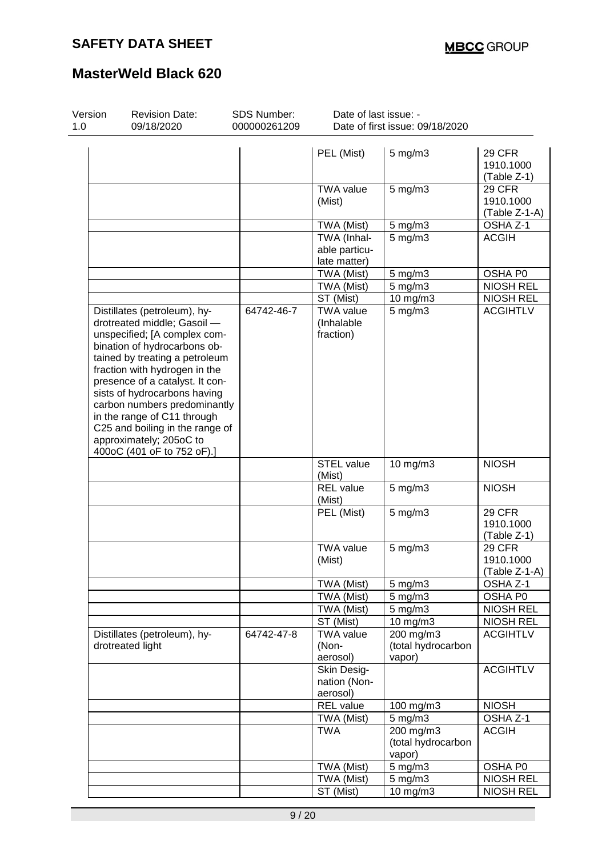| Version<br>1.0                                   | <b>Revision Date:</b><br>09/18/2020                                                                                                                                                                                                                                                                                                                                                                                          | SDS Number:<br>000000261209 | Date of last issue: -                        | Date of first issue: 09/18/2020             |                                             |
|--------------------------------------------------|------------------------------------------------------------------------------------------------------------------------------------------------------------------------------------------------------------------------------------------------------------------------------------------------------------------------------------------------------------------------------------------------------------------------------|-----------------------------|----------------------------------------------|---------------------------------------------|---------------------------------------------|
|                                                  |                                                                                                                                                                                                                                                                                                                                                                                                                              |                             |                                              |                                             |                                             |
|                                                  |                                                                                                                                                                                                                                                                                                                                                                                                                              |                             | PEL (Mist)                                   | $5$ mg/m $3$                                | <b>29 CFR</b><br>1910.1000<br>(Table Z-1)   |
|                                                  |                                                                                                                                                                                                                                                                                                                                                                                                                              |                             | <b>TWA value</b><br>(Mist)                   | $5$ mg/m $3$                                | <b>29 CFR</b><br>1910.1000<br>(Table Z-1-A) |
|                                                  |                                                                                                                                                                                                                                                                                                                                                                                                                              |                             | TWA (Mist)                                   | $5$ mg/m $3$                                | OSHA Z-1                                    |
|                                                  |                                                                                                                                                                                                                                                                                                                                                                                                                              |                             | TWA (Inhal-<br>able particu-<br>late matter) | $5$ mg/m $3$                                | <b>ACGIH</b>                                |
|                                                  |                                                                                                                                                                                                                                                                                                                                                                                                                              |                             | TWA (Mist)                                   | $5$ mg/m $3$                                | OSHA P0                                     |
|                                                  |                                                                                                                                                                                                                                                                                                                                                                                                                              |                             | TWA (Mist)                                   | $5$ mg/m $3$                                | <b>NIOSH REL</b>                            |
|                                                  |                                                                                                                                                                                                                                                                                                                                                                                                                              |                             | ST (Mist)                                    | 10 mg/m3                                    | <b>NIOSH REL</b>                            |
|                                                  | Distillates (petroleum), hy-<br>drotreated middle; Gasoil -<br>unspecified; [A complex com-<br>bination of hydrocarbons ob-<br>tained by treating a petroleum<br>fraction with hydrogen in the<br>presence of a catalyst. It con-<br>sists of hydrocarbons having<br>carbon numbers predominantly<br>in the range of C11 through<br>C25 and boiling in the range of<br>approximately; 205oC to<br>400oC (401 oF to 752 oF).] | 64742-46-7                  | <b>TWA value</b><br>(Inhalable<br>fraction)  | $5$ mg/m $3$                                | <b>ACGIHTLV</b>                             |
|                                                  |                                                                                                                                                                                                                                                                                                                                                                                                                              |                             | <b>STEL value</b><br>(Mist)                  | 10 mg/m3                                    | <b>NIOSH</b>                                |
|                                                  |                                                                                                                                                                                                                                                                                                                                                                                                                              |                             | <b>REL</b> value<br>(Mist)                   | $5$ mg/m $3$                                | <b>NIOSH</b>                                |
|                                                  |                                                                                                                                                                                                                                                                                                                                                                                                                              |                             | PEL (Mist)                                   | $5$ mg/m $3$                                | 29 CFR<br>1910.1000<br>(Table Z-1)          |
|                                                  |                                                                                                                                                                                                                                                                                                                                                                                                                              |                             | <b>TWA value</b><br>(Mist)                   | $5$ mg/m $3$                                | 29 CFR<br>1910.1000<br>(Table Z-1-A)        |
|                                                  |                                                                                                                                                                                                                                                                                                                                                                                                                              |                             | TWA (Mist)                                   | $5$ mg/m $3$                                | OSHA Z-1                                    |
|                                                  |                                                                                                                                                                                                                                                                                                                                                                                                                              |                             | TWA (Mist)                                   | $5$ mg/m $3$                                | OSHA P0                                     |
|                                                  |                                                                                                                                                                                                                                                                                                                                                                                                                              |                             | TWA (Mist)                                   | $5$ mg/m $3$                                | <b>NIOSH REL</b>                            |
|                                                  |                                                                                                                                                                                                                                                                                                                                                                                                                              |                             | ST (Mist)                                    | 10 mg/m3                                    | <b>NIOSH REL</b>                            |
| Distillates (petroleum), hy-<br>drotreated light |                                                                                                                                                                                                                                                                                                                                                                                                                              | 64742-47-8                  | <b>TWA value</b><br>(Non-<br>aerosol)        | 200 mg/m3<br>(total hydrocarbon<br>vapor)   | <b>ACGIHTLV</b>                             |
|                                                  |                                                                                                                                                                                                                                                                                                                                                                                                                              |                             | Skin Desig-<br>nation (Non-<br>aerosol)      |                                             | <b>ACGIHTLV</b>                             |
|                                                  |                                                                                                                                                                                                                                                                                                                                                                                                                              |                             | <b>REL</b> value                             | 100 mg/m3                                   | <b>NIOSH</b>                                |
|                                                  |                                                                                                                                                                                                                                                                                                                                                                                                                              |                             | TWA (Mist)                                   | $5$ mg/m $3$                                | OSHA Z-1                                    |
|                                                  |                                                                                                                                                                                                                                                                                                                                                                                                                              |                             | <b>TWA</b>                                   | $200$ mg/m3<br>(total hydrocarbon<br>vapor) | <b>ACGIH</b>                                |
|                                                  |                                                                                                                                                                                                                                                                                                                                                                                                                              |                             | TWA (Mist)                                   | $5$ mg/m $3$                                | OSHA P0                                     |
|                                                  |                                                                                                                                                                                                                                                                                                                                                                                                                              |                             | TWA (Mist)                                   | $5 \text{ mg/m}$ 3                          | <b>NIOSH REL</b>                            |
|                                                  |                                                                                                                                                                                                                                                                                                                                                                                                                              |                             | ST (Mist)                                    | $10$ mg/m $3$                               | <b>NIOSH REL</b>                            |
|                                                  |                                                                                                                                                                                                                                                                                                                                                                                                                              |                             |                                              |                                             |                                             |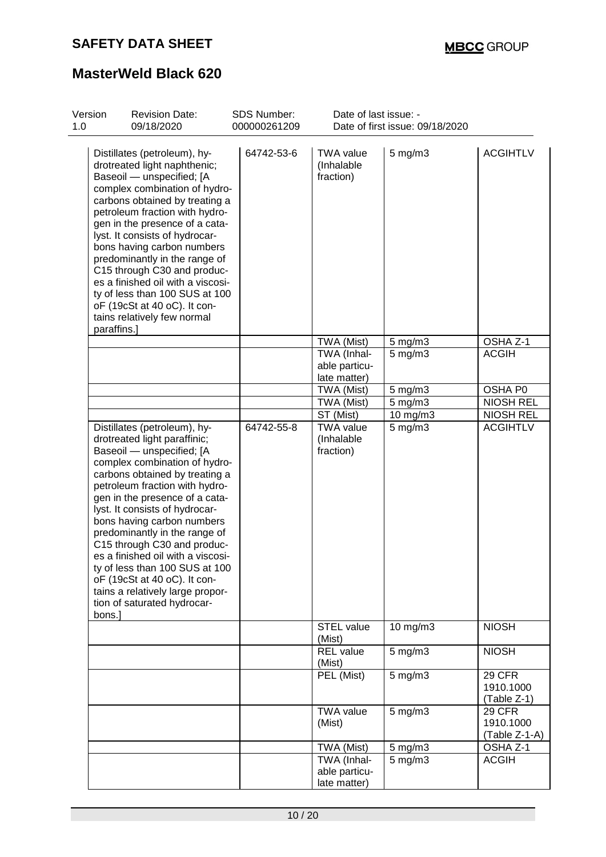| Version<br>1.0 | <b>Revision Date:</b><br>09/18/2020                                                                                                                                                                                                                                                                                                                                                                                                                                                                                                                  | <b>SDS Number:</b><br>000000261209 | Date of last issue: -                                     | Date of first issue: 09/18/2020 |                                                            |
|----------------|------------------------------------------------------------------------------------------------------------------------------------------------------------------------------------------------------------------------------------------------------------------------------------------------------------------------------------------------------------------------------------------------------------------------------------------------------------------------------------------------------------------------------------------------------|------------------------------------|-----------------------------------------------------------|---------------------------------|------------------------------------------------------------|
|                | Distillates (petroleum), hy-<br>drotreated light naphthenic;<br>Baseoil - unspecified; [A<br>complex combination of hydro-<br>carbons obtained by treating a<br>petroleum fraction with hydro-<br>gen in the presence of a cata-<br>lyst. It consists of hydrocar-<br>bons having carbon numbers<br>predominantly in the range of<br>C15 through C30 and produc-<br>es a finished oil with a viscosi-<br>ty of less than 100 SUS at 100<br>oF (19cSt at 40 oC). It con-<br>tains relatively few normal<br>paraffins.]                                | 64742-53-6                         | <b>TWA value</b><br>(Inhalable<br>fraction)               | $5$ mg/m $3$                    | <b>ACGIHTLV</b>                                            |
|                |                                                                                                                                                                                                                                                                                                                                                                                                                                                                                                                                                      |                                    | TWA (Mist)                                                | $5 \text{ mg/m}$                | OSHA Z-1                                                   |
|                |                                                                                                                                                                                                                                                                                                                                                                                                                                                                                                                                                      |                                    | TWA (Inhal-<br>able particu-<br>late matter)              | $5 \text{ mg/m}$ 3              | <b>ACGIH</b>                                               |
|                |                                                                                                                                                                                                                                                                                                                                                                                                                                                                                                                                                      |                                    | TWA (Mist)                                                | $5$ mg/m $3$                    | OSHA P0                                                    |
|                |                                                                                                                                                                                                                                                                                                                                                                                                                                                                                                                                                      |                                    | TWA (Mist)                                                | $5$ mg/m $3$                    | <b>NIOSH REL</b>                                           |
|                |                                                                                                                                                                                                                                                                                                                                                                                                                                                                                                                                                      |                                    | ST (Mist)                                                 | 10 mg/m3                        | <b>NIOSH REL</b>                                           |
|                | Distillates (petroleum), hy-<br>drotreated light paraffinic;<br>Baseoil - unspecified; [A<br>complex combination of hydro-<br>carbons obtained by treating a<br>petroleum fraction with hydro-<br>gen in the presence of a cata-<br>lyst. It consists of hydrocar-<br>bons having carbon numbers<br>predominantly in the range of<br>C15 through C30 and produc-<br>es a finished oil with a viscosi-<br>ty of less than 100 SUS at 100<br>oF (19cSt at 40 oC). It con-<br>tains a relatively large propor-<br>tion of saturated hydrocar-<br>bons.] | 64742-55-8                         | <b>TWA value</b><br>(Inhalable<br>fraction)<br>STEL value | $5$ mg/m $3$                    | <b>ACGIHTLV</b><br><b>NIOSH</b>                            |
|                |                                                                                                                                                                                                                                                                                                                                                                                                                                                                                                                                                      |                                    | (Mist)                                                    | 10 mg/m3                        |                                                            |
|                |                                                                                                                                                                                                                                                                                                                                                                                                                                                                                                                                                      |                                    | <b>REL</b> value<br>(Mist)                                | $5$ mg/m $3$                    | <b>NIOSH</b>                                               |
|                |                                                                                                                                                                                                                                                                                                                                                                                                                                                                                                                                                      |                                    | PEL (Mist)<br><b>TWA value</b>                            | $5$ mg/m $3$<br>$5$ mg/m $3$    | <b>29 CFR</b><br>1910.1000<br>(Table Z-1)<br><b>29 CFR</b> |
|                |                                                                                                                                                                                                                                                                                                                                                                                                                                                                                                                                                      |                                    | (Mist)                                                    |                                 | 1910.1000<br>(Table Z-1-A)                                 |
|                |                                                                                                                                                                                                                                                                                                                                                                                                                                                                                                                                                      |                                    | TWA (Mist)                                                | 5 mg/m3                         | OSHA Z-1                                                   |
|                |                                                                                                                                                                                                                                                                                                                                                                                                                                                                                                                                                      |                                    | TWA (Inhal-<br>able particu-<br>late matter)              | $5$ mg/m $3$                    | <b>ACGIH</b>                                               |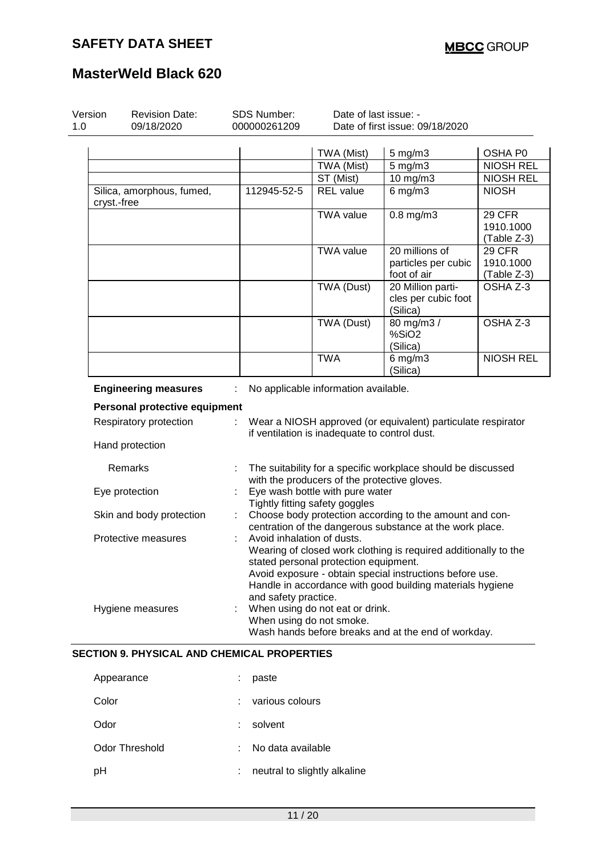| Version<br>1.0 | <b>Revision Date:</b><br>09/18/2020                | <b>SDS Number:</b><br>000000261209 | Date of last issue: -                                             | Date of first issue: 09/18/2020                                 |                  |
|----------------|----------------------------------------------------|------------------------------------|-------------------------------------------------------------------|-----------------------------------------------------------------|------------------|
|                |                                                    |                                    | TWA (Mist)                                                        |                                                                 | OSHA P0          |
|                |                                                    |                                    | TWA (Mist)                                                        | $5 \text{ mg/m}$ 3<br>$5$ mg/m $3$                              | <b>NIOSH REL</b> |
|                |                                                    |                                    |                                                                   | 10 mg/m3                                                        | <b>NIOSH REL</b> |
|                |                                                    |                                    | ST (Mist)                                                         |                                                                 | <b>NIOSH</b>     |
|                | Silica, amorphous, fumed,<br>cryst.-free           | 112945-52-5                        | <b>REL</b> value                                                  | $6$ mg/m $3$                                                    |                  |
|                |                                                    |                                    | <b>TWA value</b>                                                  | $0.8$ mg/m $3$                                                  | <b>29 CFR</b>    |
|                |                                                    |                                    |                                                                   |                                                                 | 1910.1000        |
|                |                                                    |                                    |                                                                   |                                                                 | (Table Z-3)      |
|                |                                                    |                                    | TWA value                                                         | 20 millions of                                                  | 29 CFR           |
|                |                                                    |                                    |                                                                   | particles per cubic                                             | 1910.1000        |
|                |                                                    |                                    |                                                                   | foot of air                                                     | (Table Z-3)      |
|                |                                                    |                                    | TWA (Dust)                                                        | 20 Million parti-                                               | OSHA Z-3         |
|                |                                                    |                                    |                                                                   | cles per cubic foot<br>(Silica)                                 |                  |
|                |                                                    |                                    | TWA (Dust)                                                        | 80 mg/m3 /                                                      | OSHA Z-3         |
|                |                                                    |                                    |                                                                   | %SiO <sub>2</sub>                                               |                  |
|                |                                                    |                                    |                                                                   | (Silica)                                                        |                  |
|                |                                                    |                                    | <b>TWA</b>                                                        | $6$ mg/m $3$<br>(Silica)                                        | <b>NIOSH REL</b> |
|                | <b>Engineering measures</b>                        |                                    | No applicable information available.                              |                                                                 |                  |
|                | Personal protective equipment                      |                                    |                                                                   |                                                                 |                  |
|                | Respiratory protection                             | ÷.                                 | if ventilation is inadequate to control dust.                     | Wear a NIOSH approved (or equivalent) particulate respirator    |                  |
|                | Hand protection                                    |                                    |                                                                   |                                                                 |                  |
|                | Remarks                                            |                                    | with the producers of the protective gloves.                      | The suitability for a specific workplace should be discussed    |                  |
|                | Eye protection                                     |                                    | Eye wash bottle with pure water<br>Tightly fitting safety goggles |                                                                 |                  |
|                | Skin and body protection                           |                                    |                                                                   | Choose body protection according to the amount and con-         |                  |
|                |                                                    |                                    |                                                                   | centration of the dangerous substance at the work place.        |                  |
|                | Protective measures                                | Avoid inhalation of dusts.         |                                                                   |                                                                 |                  |
|                |                                                    |                                    |                                                                   | Wearing of closed work clothing is required additionally to the |                  |
|                |                                                    |                                    | stated personal protection equipment.                             |                                                                 |                  |
|                |                                                    |                                    |                                                                   | Avoid exposure - obtain special instructions before use.        |                  |
|                |                                                    |                                    |                                                                   | Handle in accordance with good building materials hygiene       |                  |
|                |                                                    | and safety practice.               |                                                                   |                                                                 |                  |
|                | Hygiene measures                                   |                                    | When using do not eat or drink.                                   |                                                                 |                  |
|                |                                                    | When using do not smoke.           |                                                                   |                                                                 |                  |
|                |                                                    |                                    |                                                                   | Wash hands before breaks and at the end of workday.             |                  |
|                | <b>SECTION 9. PHYSICAL AND CHEMICAL PROPERTIES</b> |                                    |                                                                   |                                                                 |                  |
|                | Appearance                                         | paste                              |                                                                   |                                                                 |                  |
|                |                                                    |                                    |                                                                   |                                                                 |                  |

| $1.1$ P $-$ 0.000 $-$ | .                            |
|-----------------------|------------------------------|
| Color                 | : various colours            |
| Odor                  | $:$ solvent                  |
| Odor Threshold        | : No data available          |
| рH                    | neutral to slightly alkaline |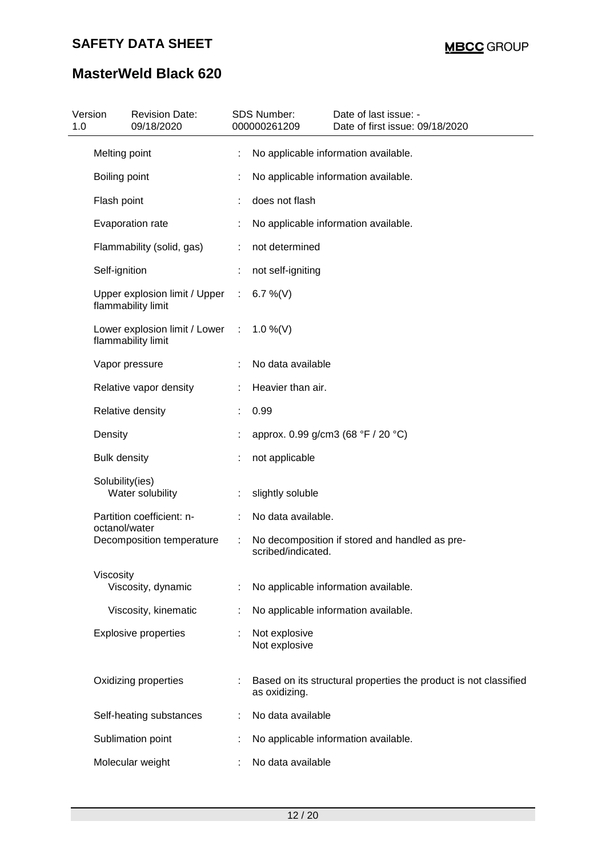| 1.0 | Version             | <b>Revision Date:</b><br>09/18/2020                   |   | SDS Number:<br>000000261209 | Date of last issue: -<br>Date of first issue: 09/18/2020         |
|-----|---------------------|-------------------------------------------------------|---|-----------------------------|------------------------------------------------------------------|
|     | Melting point       |                                                       |   |                             | No applicable information available.                             |
|     | Boiling point       |                                                       |   |                             | No applicable information available.                             |
|     | Flash point         |                                                       |   | does not flash              |                                                                  |
|     |                     | Evaporation rate                                      |   |                             | No applicable information available.                             |
|     |                     | Flammability (solid, gas)                             |   | not determined              |                                                                  |
|     | Self-ignition       |                                                       |   | not self-igniting           |                                                                  |
|     |                     | Upper explosion limit / Upper<br>flammability limit   | ÷ | 6.7 %(V)                    |                                                                  |
|     |                     | Lower explosion limit / Lower :<br>flammability limit |   | $1.0\%$ (V)                 |                                                                  |
|     |                     | Vapor pressure                                        |   | No data available           |                                                                  |
|     |                     | Relative vapor density                                |   | Heavier than air.           |                                                                  |
|     |                     | Relative density                                      |   | 0.99                        |                                                                  |
|     | Density             |                                                       |   |                             | approx. 0.99 g/cm3 (68 °F / 20 °C)                               |
|     | <b>Bulk density</b> |                                                       |   | not applicable              |                                                                  |
|     | Solubility(ies)     | Water solubility                                      |   | slightly soluble            |                                                                  |
|     | octanol/water       | Partition coefficient: n-                             |   | No data available.          |                                                                  |
|     |                     | Decomposition temperature                             |   | scribed/indicated.          | No decomposition if stored and handled as pre-                   |
|     | Viscosity           | Viscosity, dynamic                                    |   |                             | No applicable information available.                             |
|     |                     | Viscosity, kinematic                                  |   |                             | No applicable information available.                             |
|     |                     | <b>Explosive properties</b>                           |   | Not explosive               |                                                                  |
|     |                     |                                                       |   | Not explosive               |                                                                  |
|     |                     | Oxidizing properties                                  |   | as oxidizing.               | Based on its structural properties the product is not classified |
|     |                     | Self-heating substances                               |   | No data available           |                                                                  |
|     |                     | Sublimation point                                     |   |                             | No applicable information available.                             |
|     |                     | Molecular weight                                      |   | No data available           |                                                                  |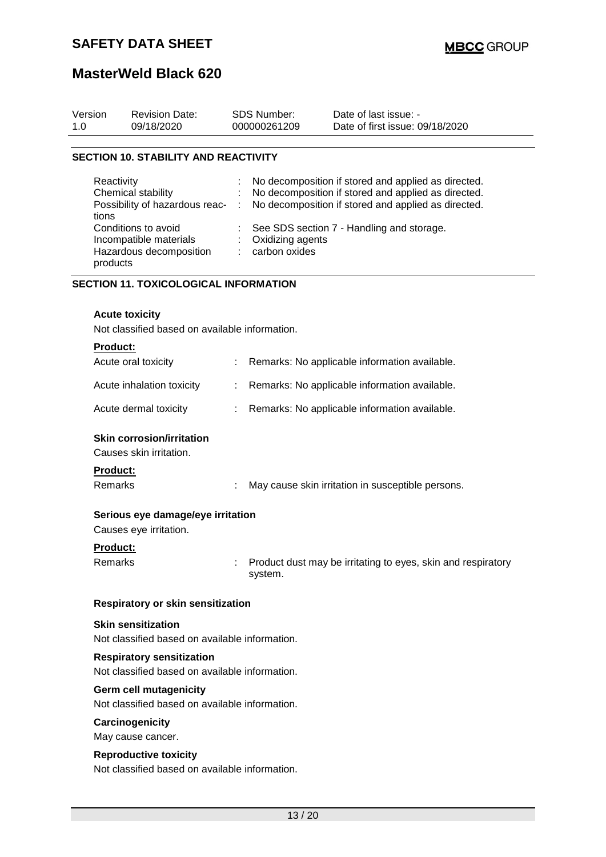| Version | <b>Revision Date:</b> | SDS Number:  | Date of last issue: -           |  |
|---------|-----------------------|--------------|---------------------------------|--|
| 1.0     | 09/18/2020            | 000000261209 | Date of first issue: 09/18/2020 |  |
|         |                       |              |                                 |  |

### **SECTION 10. STABILITY AND REACTIVITY**

| Reactivity<br>Chemical stability<br>tions                                            |   | : No decomposition if stored and applied as directed.<br>: No decomposition if stored and applied as directed.<br>Possibility of hazardous reac- : No decomposition if stored and applied as directed. |
|--------------------------------------------------------------------------------------|---|--------------------------------------------------------------------------------------------------------------------------------------------------------------------------------------------------------|
| Conditions to avoid<br>Incompatible materials<br>Hazardous decomposition<br>products | ÷ | : See SDS section 7 - Handling and storage.<br>: Oxidizing agents<br>carbon oxides                                                                                                                     |

### **SECTION 11. TOXICOLOGICAL INFORMATION**

#### **Acute toxicity**

Not classified based on available information.

| <b>Product:</b>                                             |   |                                                                         |
|-------------------------------------------------------------|---|-------------------------------------------------------------------------|
| Acute oral toxicity                                         |   | Remarks: No applicable information available.                           |
| Acute inhalation toxicity                                   | ÷ | Remarks: No applicable information available.                           |
| Acute dermal toxicity                                       |   | Remarks: No applicable information available.                           |
| <b>Skin corrosion/irritation</b><br>Causes skin irritation. |   |                                                                         |
| <b>Product:</b>                                             |   |                                                                         |
| Remarks                                                     |   | May cause skin irritation in susceptible persons.                       |
| Serious eye damage/eye irritation<br>Causes eye irritation. |   |                                                                         |
| <b>Product:</b>                                             |   |                                                                         |
| Remarks                                                     |   | Product dust may be irritating to eyes, skin and respiratory<br>system. |
| Respiratory or skin sensitization                           |   |                                                                         |
| <b>Skin sensitization</b>                                   |   |                                                                         |
| Not classified based on available information.              |   |                                                                         |
| <b>Respiratory sensitization</b>                            |   |                                                                         |
| Not classified based on available information.              |   |                                                                         |
| <b>Germ cell mutagenicity</b>                               |   |                                                                         |
| Not classified based on available information.              |   |                                                                         |
| Carcinogenicity                                             |   |                                                                         |
| May cause cancer.                                           |   |                                                                         |
| <b>Reproductive toxicity</b>                                |   |                                                                         |

Not classified based on available information.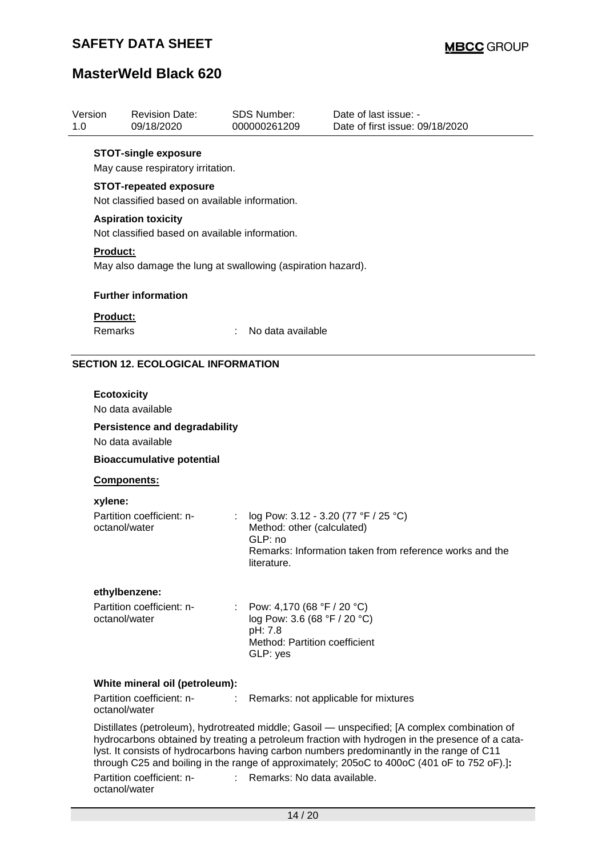| Version<br>1.0 |                                                                                 | <b>Revision Date:</b><br>09/18/2020                              |   | <b>SDS Number:</b><br>000000261209                                                                                   | Date of last issue: -<br>Date of first issue: 09/18/2020                                                                                                                                                                                                                                                                                                                                     |  |  |
|----------------|---------------------------------------------------------------------------------|------------------------------------------------------------------|---|----------------------------------------------------------------------------------------------------------------------|----------------------------------------------------------------------------------------------------------------------------------------------------------------------------------------------------------------------------------------------------------------------------------------------------------------------------------------------------------------------------------------------|--|--|
|                |                                                                                 | <b>STOT-single exposure</b><br>May cause respiratory irritation. |   |                                                                                                                      |                                                                                                                                                                                                                                                                                                                                                                                              |  |  |
|                | <b>STOT-repeated exposure</b><br>Not classified based on available information. |                                                                  |   |                                                                                                                      |                                                                                                                                                                                                                                                                                                                                                                                              |  |  |
|                | <b>Aspiration toxicity</b><br>Not classified based on available information.    |                                                                  |   |                                                                                                                      |                                                                                                                                                                                                                                                                                                                                                                                              |  |  |
|                | Product:<br>May also damage the lung at swallowing (aspiration hazard).         |                                                                  |   |                                                                                                                      |                                                                                                                                                                                                                                                                                                                                                                                              |  |  |
|                |                                                                                 | <b>Further information</b>                                       |   |                                                                                                                      |                                                                                                                                                                                                                                                                                                                                                                                              |  |  |
|                | <b>Product:</b><br>Remarks                                                      |                                                                  |   | No data available                                                                                                    |                                                                                                                                                                                                                                                                                                                                                                                              |  |  |
|                |                                                                                 | <b>SECTION 12. ECOLOGICAL INFORMATION</b>                        |   |                                                                                                                      |                                                                                                                                                                                                                                                                                                                                                                                              |  |  |
|                | <b>Ecotoxicity</b>                                                              | No data available                                                |   |                                                                                                                      |                                                                                                                                                                                                                                                                                                                                                                                              |  |  |
|                |                                                                                 | <b>Persistence and degradability</b><br>No data available        |   |                                                                                                                      |                                                                                                                                                                                                                                                                                                                                                                                              |  |  |
|                |                                                                                 | <b>Bioaccumulative potential</b>                                 |   |                                                                                                                      |                                                                                                                                                                                                                                                                                                                                                                                              |  |  |
|                |                                                                                 | Components:                                                      |   |                                                                                                                      |                                                                                                                                                                                                                                                                                                                                                                                              |  |  |
|                | xylene:<br>octanol/water                                                        | Partition coefficient: n-                                        | ÷ | log Pow: 3.12 - 3.20 (77 °F / 25 °C)<br>Method: other (calculated)<br>GLP: no<br>literature.                         | Remarks: Information taken from reference works and the                                                                                                                                                                                                                                                                                                                                      |  |  |
|                |                                                                                 | ethylbenzene:                                                    |   |                                                                                                                      |                                                                                                                                                                                                                                                                                                                                                                                              |  |  |
|                | octanol/water                                                                   | Partition coefficient: n-                                        |   | : Pow: 4,170 (68 °F / 20 °C)<br>log Pow: 3.6 (68 °F / 20 °C)<br>pH: 7.8<br>Method: Partition coefficient<br>GLP: yes |                                                                                                                                                                                                                                                                                                                                                                                              |  |  |
|                |                                                                                 | White mineral oil (petroleum):                                   |   |                                                                                                                      |                                                                                                                                                                                                                                                                                                                                                                                              |  |  |
|                | octanol/water                                                                   | Partition coefficient: n-                                        | ÷ |                                                                                                                      | Remarks: not applicable for mixtures                                                                                                                                                                                                                                                                                                                                                         |  |  |
|                |                                                                                 | Partition coefficient: n-                                        |   | : Remarks: No data available.                                                                                        | Distillates (petroleum), hydrotreated middle; Gasoil — unspecified; [A complex combination of<br>hydrocarbons obtained by treating a petroleum fraction with hydrogen in the presence of a cata-<br>lyst. It consists of hydrocarbons having carbon numbers predominantly in the range of C11<br>through C25 and boiling in the range of approximately; 205oC to 400oC (401 oF to 752 oF).]: |  |  |
|                | octanol/water                                                                   |                                                                  |   |                                                                                                                      |                                                                                                                                                                                                                                                                                                                                                                                              |  |  |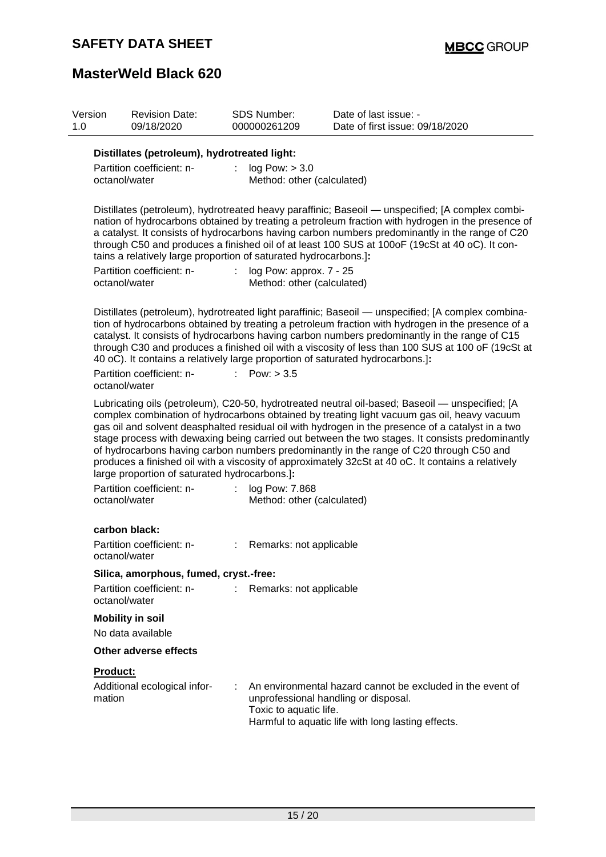| Version<br>1.0 | <b>Revision Date:</b><br>09/18/2020                                                                            | <b>SDS Number:</b><br>000000261209 | Date of last issue: -<br>Date of first issue: 09/18/2020                                                                                                                                                                                                                                                                                                                                                                                                                                                                                                                                                |
|----------------|----------------------------------------------------------------------------------------------------------------|------------------------------------|---------------------------------------------------------------------------------------------------------------------------------------------------------------------------------------------------------------------------------------------------------------------------------------------------------------------------------------------------------------------------------------------------------------------------------------------------------------------------------------------------------------------------------------------------------------------------------------------------------|
|                | Distillates (petroleum), hydrotreated light:<br>Partition coefficient: n-<br>octanol/water                     | log Pow: > 3.0<br>÷.               | Method: other (calculated)                                                                                                                                                                                                                                                                                                                                                                                                                                                                                                                                                                              |
|                | tains a relatively large proportion of saturated hydrocarbons.]:<br>Partition coefficient: n-<br>octanol/water | ÷.                                 | Distillates (petroleum), hydrotreated heavy paraffinic; Baseoil — unspecified; [A complex combi-<br>nation of hydrocarbons obtained by treating a petroleum fraction with hydrogen in the presence of<br>a catalyst. It consists of hydrocarbons having carbon numbers predominantly in the range of C20<br>through C50 and produces a finished oil of at least 100 SUS at 100oF (19cSt at 40 oC). It con-<br>log Pow: approx. 7 - 25<br>Method: other (calculated)                                                                                                                                     |
|                | Partition coefficient: n-<br>octanol/water                                                                     | Pow: $> 3.5$                       | Distillates (petroleum), hydrotreated light paraffinic; Baseoil — unspecified; [A complex combina-<br>tion of hydrocarbons obtained by treating a petroleum fraction with hydrogen in the presence of a<br>catalyst. It consists of hydrocarbons having carbon numbers predominantly in the range of C15<br>through C30 and produces a finished oil with a viscosity of less than 100 SUS at 100 oF (19cSt at<br>40 oC). It contains a relatively large proportion of saturated hydrocarbons.]:                                                                                                         |
|                | large proportion of saturated hydrocarbons.]:                                                                  |                                    | Lubricating oils (petroleum), C20-50, hydrotreated neutral oil-based; Baseoil — unspecified; [A<br>complex combination of hydrocarbons obtained by treating light vacuum gas oil, heavy vacuum<br>gas oil and solvent deasphalted residual oil with hydrogen in the presence of a catalyst in a two<br>stage process with dewaxing being carried out between the two stages. It consists predominantly<br>of hydrocarbons having carbon numbers predominantly in the range of C20 through C50 and<br>produces a finished oil with a viscosity of approximately 32cSt at 40 oC. It contains a relatively |
|                | Partition coefficient: n-<br>octanol/water                                                                     | ÷<br>log Pow: 7.868                | Method: other (calculated)                                                                                                                                                                                                                                                                                                                                                                                                                                                                                                                                                                              |
|                | carbon black:<br>Partition coefficient: n-<br>octanol/water                                                    |                                    | Remarks: not applicable                                                                                                                                                                                                                                                                                                                                                                                                                                                                                                                                                                                 |
|                | Silica, amorphous, fumed, cryst.-free:<br>Partition coefficient: n-<br>octanol/water                           |                                    | Remarks: not applicable                                                                                                                                                                                                                                                                                                                                                                                                                                                                                                                                                                                 |
|                | <b>Mobility in soil</b><br>No data available                                                                   |                                    |                                                                                                                                                                                                                                                                                                                                                                                                                                                                                                                                                                                                         |
|                | <b>Other adverse effects</b>                                                                                   |                                    |                                                                                                                                                                                                                                                                                                                                                                                                                                                                                                                                                                                                         |
|                | Product:<br>Additional ecological infor-<br>mation                                                             | Toxic to aquatic life.             | An environmental hazard cannot be excluded in the event of<br>unprofessional handling or disposal.<br>Harmful to aquatic life with long lasting effects.                                                                                                                                                                                                                                                                                                                                                                                                                                                |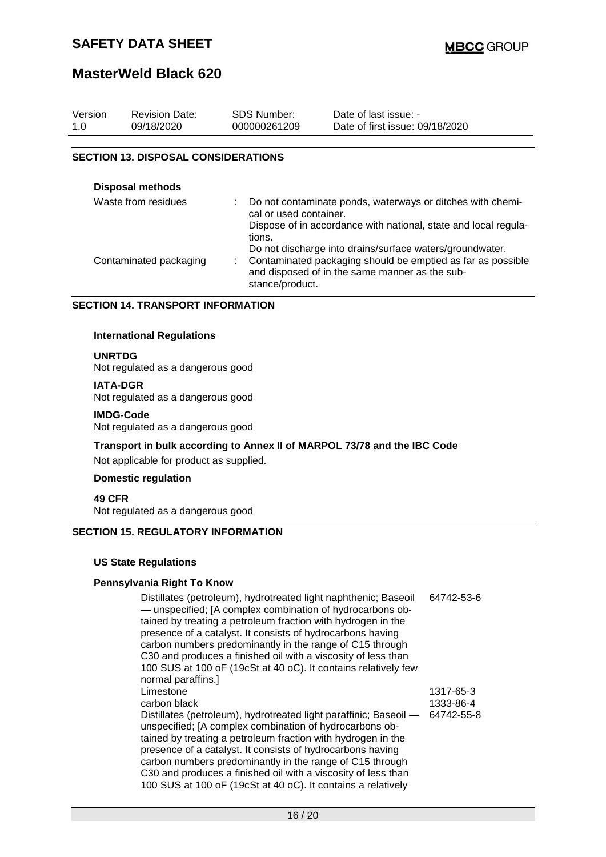## **MasterWeld Black 620**

| Version | <b>Revision Date:</b>                      | SDS Number:  | Date of last issue: -           |
|---------|--------------------------------------------|--------------|---------------------------------|
| 1.0     | 09/18/2020                                 | 000000261209 | Date of first issue: 09/18/2020 |
|         | <b>SECTION 13. DISPOSAL CONSIDERATIONS</b> |              |                                 |

| <b>Disposal methods</b> |                                                                                                                         |
|-------------------------|-------------------------------------------------------------------------------------------------------------------------|
| Waste from residues     | Do not contaminate ponds, waterways or ditches with chemi-<br>cal or used container.                                    |
|                         | Dispose of in accordance with national, state and local regula-<br>tions.                                               |
| Contaminated packaging  | Do not discharge into drains/surface waters/groundwater.<br>Contaminated packaging should be emptied as far as possible |
|                         | and disposed of in the same manner as the sub-<br>stance/product.                                                       |

#### **SECTION 14. TRANSPORT INFORMATION**

### **International Regulations**

#### **UNRTDG**

Not regulated as a dangerous good

#### **IATA-DGR**

Not regulated as a dangerous good

#### **IMDG-Code**

Not regulated as a dangerous good

## **Transport in bulk according to Annex II of MARPOL 73/78 and the IBC Code**

Not applicable for product as supplied.

### **Domestic regulation**

**49 CFR** Not regulated as a dangerous good

### **SECTION 15. REGULATORY INFORMATION**

### **US State Regulations**

### **Pennsylvania Right To Know**

| Distillates (petroleum), hydrotreated light naphthenic; Baseoil<br>- unspecified; [A complex combination of hydrocarbons ob-<br>tained by treating a petroleum fraction with hydrogen in the<br>presence of a catalyst. It consists of hydrocarbons having<br>carbon numbers predominantly in the range of C15 through<br>C30 and produces a finished oil with a viscosity of less than<br>100 SUS at 100 oF (19cSt at 40 oC). It contains relatively few<br>normal paraffins.] | 64742-53-6 |
|---------------------------------------------------------------------------------------------------------------------------------------------------------------------------------------------------------------------------------------------------------------------------------------------------------------------------------------------------------------------------------------------------------------------------------------------------------------------------------|------------|
| Limestone                                                                                                                                                                                                                                                                                                                                                                                                                                                                       | 1317-65-3  |
| carbon black                                                                                                                                                                                                                                                                                                                                                                                                                                                                    | 1333-86-4  |
|                                                                                                                                                                                                                                                                                                                                                                                                                                                                                 |            |
| Distillates (petroleum), hydrotreated light paraffinic; Baseoil -                                                                                                                                                                                                                                                                                                                                                                                                               | 64742-55-8 |
| unspecified; [A complex combination of hydrocarbons ob-                                                                                                                                                                                                                                                                                                                                                                                                                         |            |
| tained by treating a petroleum fraction with hydrogen in the                                                                                                                                                                                                                                                                                                                                                                                                                    |            |
| presence of a catalyst. It consists of hydrocarbons having                                                                                                                                                                                                                                                                                                                                                                                                                      |            |
| carbon numbers predominantly in the range of C15 through                                                                                                                                                                                                                                                                                                                                                                                                                        |            |
| C30 and produces a finished oil with a viscosity of less than                                                                                                                                                                                                                                                                                                                                                                                                                   |            |
| 100 SUS at 100 oF (19cSt at 40 oC). It contains a relatively                                                                                                                                                                                                                                                                                                                                                                                                                    |            |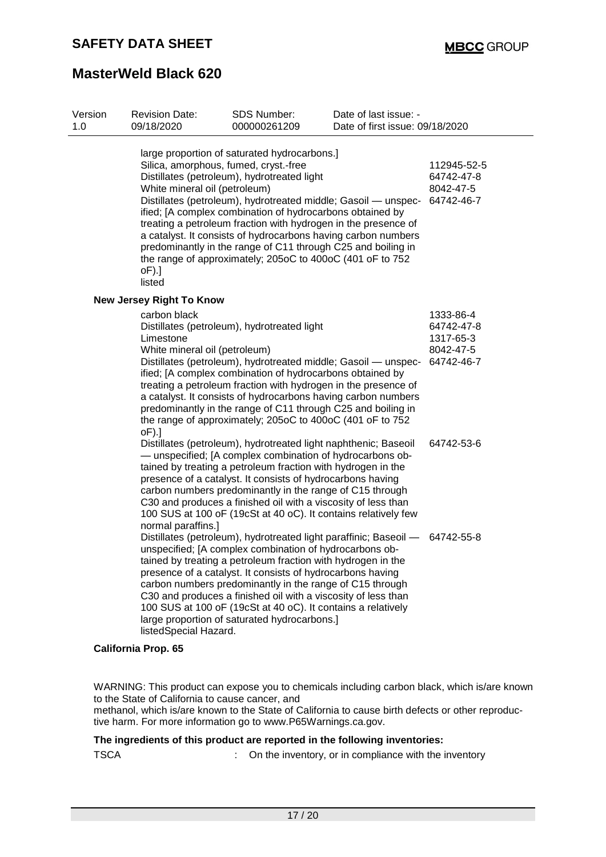| Version<br>1.0 | <b>Revision Date:</b><br>09/18/2020                                                          | <b>SDS Number:</b><br>000000261209                                                                                                                                                                                                                                                                                                                                                                                                                                                                      | Date of last issue: -<br>Date of first issue: 09/18/2020 |                                                                 |
|----------------|----------------------------------------------------------------------------------------------|---------------------------------------------------------------------------------------------------------------------------------------------------------------------------------------------------------------------------------------------------------------------------------------------------------------------------------------------------------------------------------------------------------------------------------------------------------------------------------------------------------|----------------------------------------------------------|-----------------------------------------------------------------|
|                | Silica, amorphous, fumed, cryst.-free<br>White mineral oil (petroleum)<br>$oF$ ).]<br>listed | large proportion of saturated hydrocarbons.]<br>Distillates (petroleum), hydrotreated light<br>Distillates (petroleum), hydrotreated middle; Gasoil - unspec-<br>ified; [A complex combination of hydrocarbons obtained by<br>treating a petroleum fraction with hydrogen in the presence of<br>a catalyst. It consists of hydrocarbons having carbon numbers<br>predominantly in the range of C11 through C25 and boiling in<br>the range of approximately; 205oC to 400oC (401 oF to 752              |                                                          | 112945-52-5<br>64742-47-8<br>8042-47-5<br>64742-46-7            |
|                | <b>New Jersey Right To Know</b>                                                              |                                                                                                                                                                                                                                                                                                                                                                                                                                                                                                         |                                                          |                                                                 |
|                | carbon black<br>Limestone<br>White mineral oil (petroleum)<br>$oF$ ).]                       | Distillates (petroleum), hydrotreated light<br>Distillates (petroleum), hydrotreated middle; Gasoil - unspec-<br>ified; [A complex combination of hydrocarbons obtained by<br>treating a petroleum fraction with hydrogen in the presence of<br>a catalyst. It consists of hydrocarbons having carbon numbers<br>predominantly in the range of C11 through C25 and boiling in<br>the range of approximately; 205oC to 400oC (401 oF to 752                                                              |                                                          | 1333-86-4<br>64742-47-8<br>1317-65-3<br>8042-47-5<br>64742-46-7 |
|                | normal paraffins.]                                                                           | Distillates (petroleum), hydrotreated light naphthenic; Baseoil<br>- unspecified; [A complex combination of hydrocarbons ob-<br>tained by treating a petroleum fraction with hydrogen in the<br>presence of a catalyst. It consists of hydrocarbons having<br>carbon numbers predominantly in the range of C15 through<br>C30 and produces a finished oil with a viscosity of less than<br>100 SUS at 100 oF (19cSt at 40 oC). It contains relatively few                                               |                                                          | 64742-53-6                                                      |
|                | listedSpecial Hazard.                                                                        | Distillates (petroleum), hydrotreated light paraffinic; Baseoil -<br>unspecified; [A complex combination of hydrocarbons ob-<br>tained by treating a petroleum fraction with hydrogen in the<br>presence of a catalyst. It consists of hydrocarbons having<br>carbon numbers predominantly in the range of C15 through<br>C30 and produces a finished oil with a viscosity of less than<br>100 SUS at 100 oF (19cSt at 40 oC). It contains a relatively<br>large proportion of saturated hydrocarbons.] |                                                          | 64742-55-8                                                      |

### **California Prop. 65**

WARNING: This product can expose you to chemicals including carbon black, which is/are known to the State of California to cause cancer, and

methanol, which is/are known to the State of California to cause birth defects or other reproductive harm. For more information go to www.P65Warnings.ca.gov.

### **The ingredients of this product are reported in the following inventories:**

TSCA : On the inventory, or in compliance with the inventory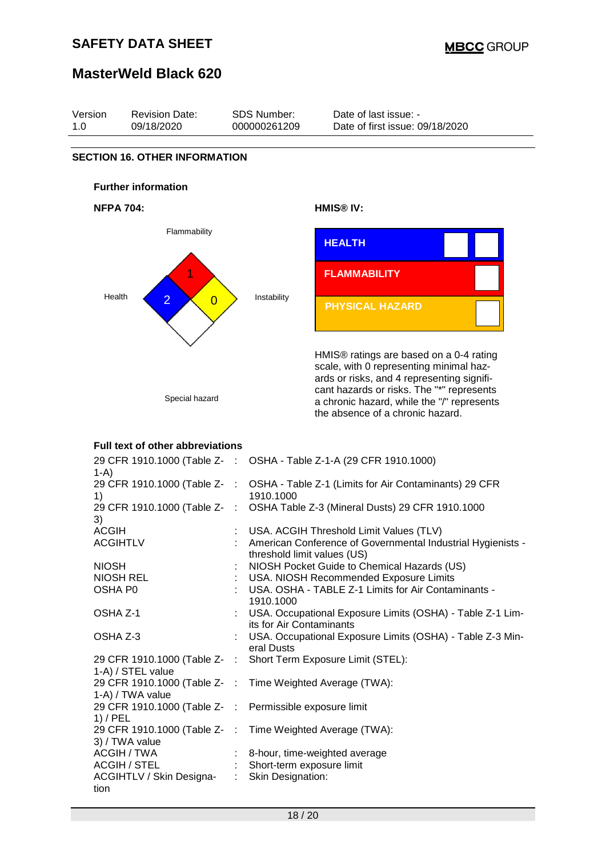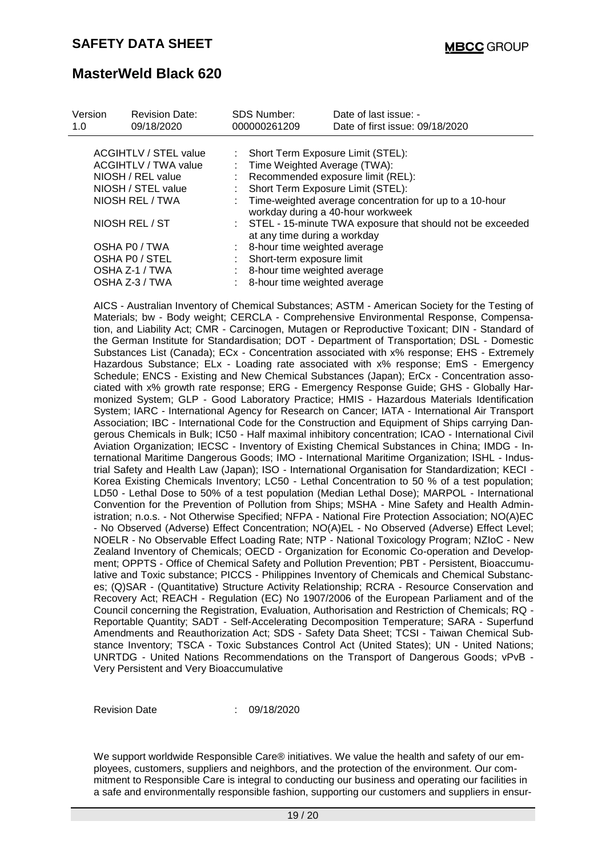| Version<br>1.0 | <b>Revision Date:</b><br>09/18/2020                                                                                       |                          | <b>SDS Number:</b><br>000000261209                                                                                                                        | Date of last issue: -<br>Date of first issue: 09/18/2020                                                                          |
|----------------|---------------------------------------------------------------------------------------------------------------------------|--------------------------|-----------------------------------------------------------------------------------------------------------------------------------------------------------|-----------------------------------------------------------------------------------------------------------------------------------|
|                | <b>ACGIHTLV / STEL value</b><br><b>ACGIHTLV / TWA value</b><br>NIOSH / REL value<br>NIOSH / STEL value<br>NIOSH REL / TWA | $\mathcal{L}_{\rm{max}}$ | Short Term Exposure Limit (STEL):<br>Time Weighted Average (TWA):<br>Short Term Exposure Limit (STEL):                                                    | Recommended exposure limit (REL):<br>Time-weighted average concentration for up to a 10-hour<br>workday during a 40-hour workweek |
|                | NIOSH REL / ST<br>OSHA PO / TWA<br>OSHA PO / STEL<br>OSHA Z-1 / TWA<br>OSHA Z-3 / TWA                                     |                          | at any time during a workday<br>8-hour time weighted average<br>Short-term exposure limit<br>8-hour time weighted average<br>8-hour time weighted average | : STEL - 15-minute TWA exposure that should not be exceeded                                                                       |

AICS - Australian Inventory of Chemical Substances; ASTM - American Society for the Testing of Materials; bw - Body weight; CERCLA - Comprehensive Environmental Response, Compensation, and Liability Act; CMR - Carcinogen, Mutagen or Reproductive Toxicant; DIN - Standard of the German Institute for Standardisation; DOT - Department of Transportation; DSL - Domestic Substances List (Canada); ECx - Concentration associated with x% response; EHS - Extremely Hazardous Substance; ELx - Loading rate associated with x% response; EmS - Emergency Schedule; ENCS - Existing and New Chemical Substances (Japan); ErCx - Concentration associated with x% growth rate response; ERG - Emergency Response Guide; GHS - Globally Harmonized System; GLP - Good Laboratory Practice; HMIS - Hazardous Materials Identification System; IARC - International Agency for Research on Cancer; IATA - International Air Transport Association; IBC - International Code for the Construction and Equipment of Ships carrying Dangerous Chemicals in Bulk; IC50 - Half maximal inhibitory concentration; ICAO - International Civil Aviation Organization; IECSC - Inventory of Existing Chemical Substances in China; IMDG - International Maritime Dangerous Goods; IMO - International Maritime Organization; ISHL - Industrial Safety and Health Law (Japan); ISO - International Organisation for Standardization; KECI - Korea Existing Chemicals Inventory; LC50 - Lethal Concentration to 50 % of a test population; LD50 - Lethal Dose to 50% of a test population (Median Lethal Dose); MARPOL - International Convention for the Prevention of Pollution from Ships; MSHA - Mine Safety and Health Administration; n.o.s. - Not Otherwise Specified; NFPA - National Fire Protection Association; NO(A)EC - No Observed (Adverse) Effect Concentration; NO(A)EL - No Observed (Adverse) Effect Level; NOELR - No Observable Effect Loading Rate; NTP - National Toxicology Program; NZIoC - New Zealand Inventory of Chemicals; OECD - Organization for Economic Co-operation and Development; OPPTS - Office of Chemical Safety and Pollution Prevention; PBT - Persistent, Bioaccumulative and Toxic substance; PICCS - Philippines Inventory of Chemicals and Chemical Substances; (Q)SAR - (Quantitative) Structure Activity Relationship; RCRA - Resource Conservation and Recovery Act; REACH - Regulation (EC) No 1907/2006 of the European Parliament and of the Council concerning the Registration, Evaluation, Authorisation and Restriction of Chemicals; RQ - Reportable Quantity; SADT - Self-Accelerating Decomposition Temperature; SARA - Superfund Amendments and Reauthorization Act; SDS - Safety Data Sheet; TCSI - Taiwan Chemical Substance Inventory; TSCA - Toxic Substances Control Act (United States); UN - United Nations; UNRTDG - United Nations Recommendations on the Transport of Dangerous Goods; vPvB - Very Persistent and Very Bioaccumulative

Revision Date : 09/18/2020

We support worldwide Responsible Care® initiatives. We value the health and safety of our employees, customers, suppliers and neighbors, and the protection of the environment. Our commitment to Responsible Care is integral to conducting our business and operating our facilities in a safe and environmentally responsible fashion, supporting our customers and suppliers in ensur-